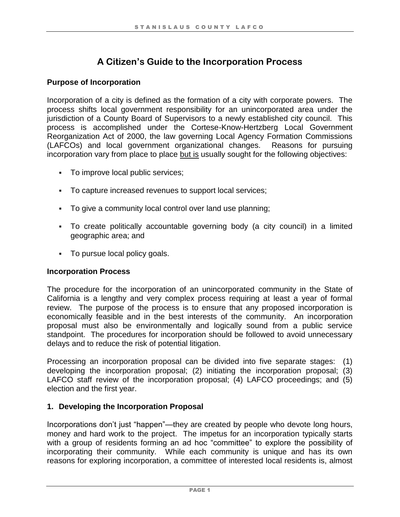# **A Citizen's Guide to the Incorporation Process**

# **Purpose of Incorporation**

Incorporation of a city is defined as the formation of a city with corporate powers. The process shifts local government responsibility for an unincorporated area under the jurisdiction of a County Board of Supervisors to a newly established city council. This process is accomplished under the Cortese-Know-Hertzberg Local Government Reorganization Act of 2000, the law governing Local Agency Formation Commissions (LAFCOs) and local government organizational changes. Reasons for pursuing incorporation vary from place to place but is usually sought for the following objectives:

- **•** To improve local public services;
- To capture increased revenues to support local services;
- To give a community local control over land use planning;
- To create politically accountable governing body (a city council) in a limited geographic area; and
- To pursue local policy goals.

#### **Incorporation Process**

The procedure for the incorporation of an unincorporated community in the State of California is a lengthy and very complex process requiring at least a year of formal review. The purpose of the process is to ensure that any proposed incorporation is economically feasible and in the best interests of the community. An incorporation proposal must also be environmentally and logically sound from a public service standpoint. The procedures for incorporation should be followed to avoid unnecessary delays and to reduce the risk of potential litigation.

Processing an incorporation proposal can be divided into five separate stages: (1) developing the incorporation proposal; (2) initiating the incorporation proposal; (3) LAFCO staff review of the incorporation proposal; (4) LAFCO proceedings; and (5) election and the first year.

# **1. Developing the Incorporation Proposal**

Incorporations don't just "happen"—they are created by people who devote long hours, money and hard work to the project. The impetus for an incorporation typically starts with a group of residents forming an ad hoc "committee" to explore the possibility of incorporating their community. While each community is unique and has its own reasons for exploring incorporation, a committee of interested local residents is, almost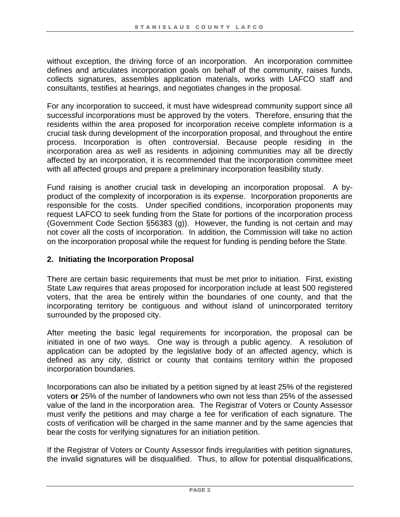without exception, the driving force of an incorporation. An incorporation committee defines and articulates incorporation goals on behalf of the community, raises funds, collects signatures, assembles application materials, works with LAFCO staff and consultants, testifies at hearings, and negotiates changes in the proposal.

For any incorporation to succeed, it must have widespread community support since all successful incorporations must be approved by the voters. Therefore, ensuring that the residents within the area proposed for incorporation receive complete information is a crucial task during development of the incorporation proposal, and throughout the entire process. Incorporation is often controversial. Because people residing in the incorporation area as well as residents in adjoining communities may all be directly affected by an incorporation, it is recommended that the incorporation committee meet with all affected groups and prepare a preliminary incorporation feasibility study.

Fund raising is another crucial task in developing an incorporation proposal. A byproduct of the complexity of incorporation is its expense. Incorporation proponents are responsible for the costs. Under specified conditions, incorporation proponents may request LAFCO to seek funding from the State for portions of the incorporation process (Government Code Section §56383 (g)). However, the funding is not certain and may not cover all the costs of incorporation. In addition, the Commission will take no action on the incorporation proposal while the request for funding is pending before the State.

#### **2. Initiating the Incorporation Proposal**

There are certain basic requirements that must be met prior to initiation. First, existing State Law requires that areas proposed for incorporation include at least 500 registered voters, that the area be entirely within the boundaries of one county, and that the incorporating territory be contiguous and without island of unincorporated territory surrounded by the proposed city.

After meeting the basic legal requirements for incorporation, the proposal can be initiated in one of two ways. One way is through a public agency. A resolution of application can be adopted by the legislative body of an affected agency, which is defined as any city, district or county that contains territory within the proposed incorporation boundaries.

Incorporations can also be initiated by a petition signed by at least 25% of the registered voters **or** 25% of the number of landowners who own not less than 25% of the assessed value of the land in the incorporation area. The Registrar of Voters or County Assessor must verify the petitions and may charge a fee for verification of each signature. The costs of verification will be charged in the same manner and by the same agencies that bear the costs for verifying signatures for an initiation petition.

If the Registrar of Voters or County Assessor finds irregularities with petition signatures, the invalid signatures will be disqualified. Thus, to allow for potential disqualifications,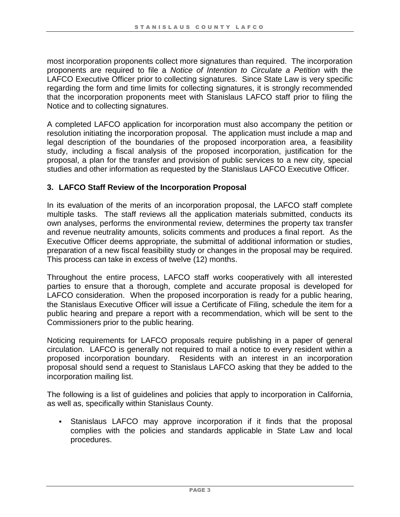most incorporation proponents collect more signatures than required. The incorporation proponents are required to file a *Notice of Intention to Circulate a Petition* with the LAFCO Executive Officer prior to collecting signatures. Since State Law is very specific regarding the form and time limits for collecting signatures, it is strongly recommended that the incorporation proponents meet with Stanislaus LAFCO staff prior to filing the Notice and to collecting signatures.

A completed LAFCO application for incorporation must also accompany the petition or resolution initiating the incorporation proposal. The application must include a map and legal description of the boundaries of the proposed incorporation area, a feasibility study, including a fiscal analysis of the proposed incorporation, justification for the proposal, a plan for the transfer and provision of public services to a new city, special studies and other information as requested by the Stanislaus LAFCO Executive Officer.

## **3. LAFCO Staff Review of the Incorporation Proposal**

In its evaluation of the merits of an incorporation proposal, the LAFCO staff complete multiple tasks. The staff reviews all the application materials submitted, conducts its own analyses, performs the environmental review, determines the property tax transfer and revenue neutrality amounts, solicits comments and produces a final report. As the Executive Officer deems appropriate, the submittal of additional information or studies, preparation of a new fiscal feasibility study or changes in the proposal may be required. This process can take in excess of twelve (12) months.

Throughout the entire process, LAFCO staff works cooperatively with all interested parties to ensure that a thorough, complete and accurate proposal is developed for LAFCO consideration. When the proposed incorporation is ready for a public hearing, the Stanislaus Executive Officer will issue a Certificate of Filing, schedule the item for a public hearing and prepare a report with a recommendation, which will be sent to the Commissioners prior to the public hearing.

Noticing requirements for LAFCO proposals require publishing in a paper of general circulation. LAFCO is generally not required to mail a notice to every resident within a proposed incorporation boundary. Residents with an interest in an incorporation proposal should send a request to Stanislaus LAFCO asking that they be added to the incorporation mailing list.

The following is a list of guidelines and policies that apply to incorporation in California, as well as, specifically within Stanislaus County.

▪ Stanislaus LAFCO may approve incorporation if it finds that the proposal complies with the policies and standards applicable in State Law and local procedures.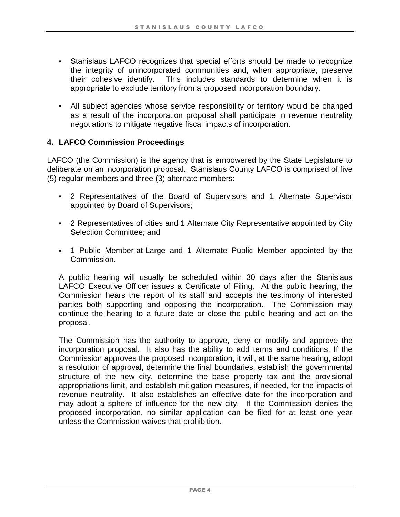- **Stanislaus LAFCO recognizes that special efforts should be made to recognize** the integrity of unincorporated communities and, when appropriate, preserve their cohesive identify. This includes standards to determine when it is appropriate to exclude territory from a proposed incorporation boundary.
- All subject agencies whose service responsibility or territory would be changed as a result of the incorporation proposal shall participate in revenue neutrality negotiations to mitigate negative fiscal impacts of incorporation.

# **4. LAFCO Commission Proceedings**

LAFCO (the Commission) is the agency that is empowered by the State Legislature to deliberate on an incorporation proposal. Stanislaus County LAFCO is comprised of five (5) regular members and three (3) alternate members:

- 2 Representatives of the Board of Supervisors and 1 Alternate Supervisor appointed by Board of Supervisors;
- 2 Representatives of cities and 1 Alternate City Representative appointed by City Selection Committee; and
- 1 Public Member-at-Large and 1 Alternate Public Member appointed by the Commission.

A public hearing will usually be scheduled within 30 days after the Stanislaus LAFCO Executive Officer issues a Certificate of Filing. At the public hearing, the Commission hears the report of its staff and accepts the testimony of interested parties both supporting and opposing the incorporation. The Commission may continue the hearing to a future date or close the public hearing and act on the proposal.

The Commission has the authority to approve, deny or modify and approve the incorporation proposal. It also has the ability to add terms and conditions. If the Commission approves the proposed incorporation, it will, at the same hearing, adopt a resolution of approval, determine the final boundaries, establish the governmental structure of the new city, determine the base property tax and the provisional appropriations limit, and establish mitigation measures, if needed, for the impacts of revenue neutrality. It also establishes an effective date for the incorporation and may adopt a sphere of influence for the new city. If the Commission denies the proposed incorporation, no similar application can be filed for at least one year unless the Commission waives that prohibition.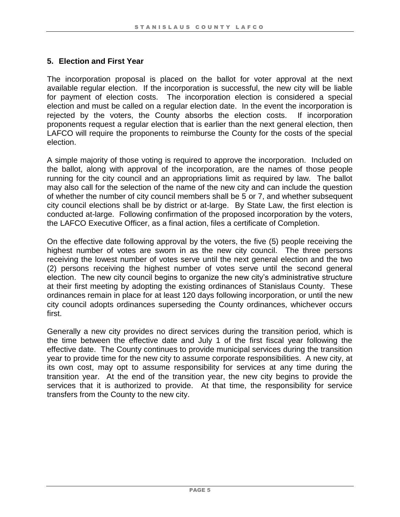## **5. Election and First Year**

The incorporation proposal is placed on the ballot for voter approval at the next available regular election. If the incorporation is successful, the new city will be liable for payment of election costs. The incorporation election is considered a special election and must be called on a regular election date. In the event the incorporation is rejected by the voters, the County absorbs the election costs. If incorporation proponents request a regular election that is earlier than the next general election, then LAFCO will require the proponents to reimburse the County for the costs of the special election.

A simple majority of those voting is required to approve the incorporation. Included on the ballot, along with approval of the incorporation, are the names of those people running for the city council and an appropriations limit as required by law. The ballot may also call for the selection of the name of the new city and can include the question of whether the number of city council members shall be 5 or 7, and whether subsequent city council elections shall be by district or at-large. By State Law, the first election is conducted at-large. Following confirmation of the proposed incorporation by the voters, the LAFCO Executive Officer, as a final action, files a certificate of Completion.

On the effective date following approval by the voters, the five (5) people receiving the highest number of votes are sworn in as the new city council. The three persons receiving the lowest number of votes serve until the next general election and the two (2) persons receiving the highest number of votes serve until the second general election. The new city council begins to organize the new city's administrative structure at their first meeting by adopting the existing ordinances of Stanislaus County. These ordinances remain in place for at least 120 days following incorporation, or until the new city council adopts ordinances superseding the County ordinances, whichever occurs first.

Generally a new city provides no direct services during the transition period, which is the time between the effective date and July 1 of the first fiscal year following the effective date. The County continues to provide municipal services during the transition year to provide time for the new city to assume corporate responsibilities. A new city, at its own cost, may opt to assume responsibility for services at any time during the transition year. At the end of the transition year, the new city begins to provide the services that it is authorized to provide. At that time, the responsibility for service transfers from the County to the new city.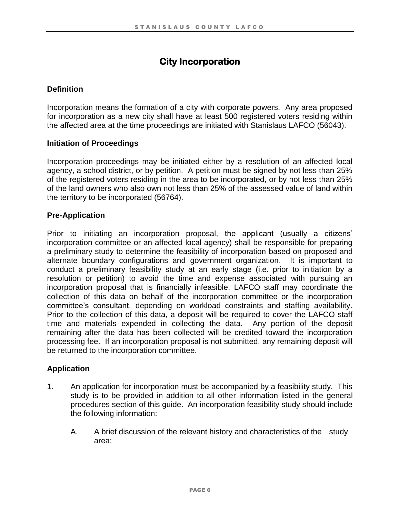# **City Incorporation**

# **Definition**

Incorporation means the formation of a city with corporate powers. Any area proposed for incorporation as a new city shall have at least 500 registered voters residing within the affected area at the time proceedings are initiated with Stanislaus LAFCO (56043).

## **Initiation of Proceedings**

Incorporation proceedings may be initiated either by a resolution of an affected local agency, a school district, or by petition. A petition must be signed by not less than 25% of the registered voters residing in the area to be incorporated, or by not less than 25% of the land owners who also own not less than 25% of the assessed value of land within the territory to be incorporated (56764).

## **Pre-Application**

Prior to initiating an incorporation proposal, the applicant (usually a citizens' incorporation committee or an affected local agency) shall be responsible for preparing a preliminary study to determine the feasibility of incorporation based on proposed and alternate boundary configurations and government organization. It is important to conduct a preliminary feasibility study at an early stage (i.e. prior to initiation by a resolution or petition) to avoid the time and expense associated with pursuing an incorporation proposal that is financially infeasible. LAFCO staff may coordinate the collection of this data on behalf of the incorporation committee or the incorporation committee's consultant, depending on workload constraints and staffing availability. Prior to the collection of this data, a deposit will be required to cover the LAFCO staff time and materials expended in collecting the data. Any portion of the deposit remaining after the data has been collected will be credited toward the incorporation processing fee. If an incorporation proposal is not submitted, any remaining deposit will be returned to the incorporation committee.

#### **Application**

- 1. An application for incorporation must be accompanied by a feasibility study. This study is to be provided in addition to all other information listed in the general procedures section of this guide. An incorporation feasibility study should include the following information:
	- A. A brief discussion of the relevant history and characteristics of the study area;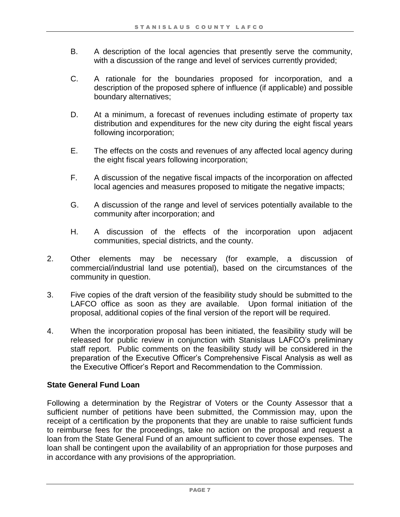- B. A description of the local agencies that presently serve the community, with a discussion of the range and level of services currently provided;
- C. A rationale for the boundaries proposed for incorporation, and a description of the proposed sphere of influence (if applicable) and possible boundary alternatives;
- D. At a minimum, a forecast of revenues including estimate of property tax distribution and expenditures for the new city during the eight fiscal years following incorporation;
- E. The effects on the costs and revenues of any affected local agency during the eight fiscal years following incorporation;
- F. A discussion of the negative fiscal impacts of the incorporation on affected local agencies and measures proposed to mitigate the negative impacts;
- G. A discussion of the range and level of services potentially available to the community after incorporation; and
- H. A discussion of the effects of the incorporation upon adjacent communities, special districts, and the county.
- 2. Other elements may be necessary (for example, a discussion of commercial/industrial land use potential), based on the circumstances of the community in question.
- 3. Five copies of the draft version of the feasibility study should be submitted to the LAFCO office as soon as they are available. Upon formal initiation of the proposal, additional copies of the final version of the report will be required.
- 4. When the incorporation proposal has been initiated, the feasibility study will be released for public review in conjunction with Stanislaus LAFCO's preliminary staff report. Public comments on the feasibility study will be considered in the preparation of the Executive Officer's Comprehensive Fiscal Analysis as well as the Executive Officer's Report and Recommendation to the Commission.

# **State General Fund Loan**

Following a determination by the Registrar of Voters or the County Assessor that a sufficient number of petitions have been submitted, the Commission may, upon the receipt of a certification by the proponents that they are unable to raise sufficient funds to reimburse fees for the proceedings, take no action on the proposal and request a loan from the State General Fund of an amount sufficient to cover those expenses. The loan shall be contingent upon the availability of an appropriation for those purposes and in accordance with any provisions of the appropriation.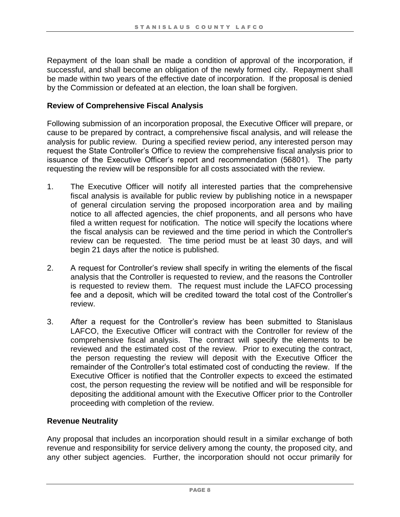Repayment of the loan shall be made a condition of approval of the incorporation, if successful, and shall become an obligation of the newly formed city. Repayment shall be made within two years of the effective date of incorporation. If the proposal is denied by the Commission or defeated at an election, the loan shall be forgiven.

#### **Review of Comprehensive Fiscal Analysis**

Following submission of an incorporation proposal, the Executive Officer will prepare, or cause to be prepared by contract, a comprehensive fiscal analysis, and will release the analysis for public review. During a specified review period, any interested person may request the State Controller's Office to review the comprehensive fiscal analysis prior to issuance of the Executive Officer's report and recommendation (56801). The party requesting the review will be responsible for all costs associated with the review.

- 1. The Executive Officer will notify all interested parties that the comprehensive fiscal analysis is available for public review by publishing notice in a newspaper of general circulation serving the proposed incorporation area and by mailing notice to all affected agencies, the chief proponents, and all persons who have filed a written request for notification. The notice will specify the locations where the fiscal analysis can be reviewed and the time period in which the Controller's review can be requested. The time period must be at least 30 days, and will begin 21 days after the notice is published.
- 2. A request for Controller's review shall specify in writing the elements of the fiscal analysis that the Controller is requested to review, and the reasons the Controller is requested to review them. The request must include the LAFCO processing fee and a deposit, which will be credited toward the total cost of the Controller's review.
- 3. After a request for the Controller's review has been submitted to Stanislaus LAFCO, the Executive Officer will contract with the Controller for review of the comprehensive fiscal analysis. The contract will specify the elements to be reviewed and the estimated cost of the review. Prior to executing the contract, the person requesting the review will deposit with the Executive Officer the remainder of the Controller's total estimated cost of conducting the review. If the Executive Officer is notified that the Controller expects to exceed the estimated cost, the person requesting the review will be notified and will be responsible for depositing the additional amount with the Executive Officer prior to the Controller proceeding with completion of the review.

#### **Revenue Neutrality**

Any proposal that includes an incorporation should result in a similar exchange of both revenue and responsibility for service delivery among the county, the proposed city, and any other subject agencies. Further, the incorporation should not occur primarily for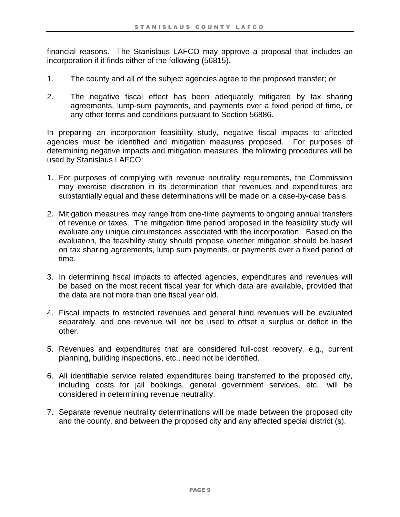financial reasons. The Stanislaus LAFCO may approve a proposal that includes an incorporation if it finds either of the following (56815).

- 1. The county and all of the subject agencies agree to the proposed transfer; or
- 2. The negative fiscal effect has been adequately mitigated by tax sharing agreements, lump-sum payments, and payments over a fixed period of time, or any other terms and conditions pursuant to Section 56886.

In preparing an incorporation feasibility study, negative fiscal impacts to affected agencies must be identified and mitigation measures proposed. For purposes of determining negative impacts and mitigation measures, the following procedures will be used by Stanislaus LAFCO:

- 1. For purposes of complying with revenue neutrality requirements, the Commission may exercise discretion in its determination that revenues and expenditures are substantially equal and these determinations will be made on a case-by-case basis.
- 2. Mitigation measures may range from one-time payments to ongoing annual transfers of revenue or taxes. The mitigation time period proposed in the feasibility study will evaluate any unique circumstances associated with the incorporation. Based on the evaluation, the feasibility study should propose whether mitigation should be based on tax sharing agreements, lump sum payments, or payments over a fixed period of time.
- 3. In determining fiscal impacts to affected agencies, expenditures and revenues will be based on the most recent fiscal year for which data are available, provided that the data are not more than one fiscal year old.
- 4. Fiscal impacts to restricted revenues and general fund revenues will be evaluated separately, and one revenue will not be used to offset a surplus or deficit in the other.
- 5. Revenues and expenditures that are considered full-cost recovery, e.g., current planning, building inspections, etc., need not be identified.
- 6. All identifiable service related expenditures being transferred to the proposed city, including costs for jail bookings, general government services, etc., will be considered in determining revenue neutrality.
- 7. Separate revenue neutrality determinations will be made between the proposed city and the county, and between the proposed city and any affected special district (s).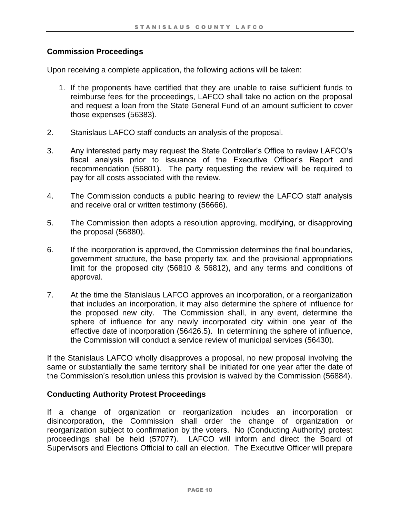## **Commission Proceedings**

Upon receiving a complete application, the following actions will be taken:

- 1. If the proponents have certified that they are unable to raise sufficient funds to reimburse fees for the proceedings, LAFCO shall take no action on the proposal and request a loan from the State General Fund of an amount sufficient to cover those expenses (56383).
- 2. Stanislaus LAFCO staff conducts an analysis of the proposal.
- 3. Any interested party may request the State Controller's Office to review LAFCO's fiscal analysis prior to issuance of the Executive Officer's Report and recommendation (56801). The party requesting the review will be required to pay for all costs associated with the review.
- 4. The Commission conducts a public hearing to review the LAFCO staff analysis and receive oral or written testimony (56666).
- 5. The Commission then adopts a resolution approving, modifying, or disapproving the proposal (56880).
- 6. If the incorporation is approved, the Commission determines the final boundaries, government structure, the base property tax, and the provisional appropriations limit for the proposed city (56810 & 56812), and any terms and conditions of approval.
- 7. At the time the Stanislaus LAFCO approves an incorporation, or a reorganization that includes an incorporation, it may also determine the sphere of influence for the proposed new city. The Commission shall, in any event, determine the sphere of influence for any newly incorporated city within one year of the effective date of incorporation (56426.5). In determining the sphere of influence, the Commission will conduct a service review of municipal services (56430).

If the Stanislaus LAFCO wholly disapproves a proposal, no new proposal involving the same or substantially the same territory shall be initiated for one year after the date of the Commission's resolution unless this provision is waived by the Commission (56884).

#### **Conducting Authority Protest Proceedings**

If a change of organization or reorganization includes an incorporation or disincorporation, the Commission shall order the change of organization or reorganization subject to confirmation by the voters. No (Conducting Authority) protest proceedings shall be held (57077). LAFCO will inform and direct the Board of Supervisors and Elections Official to call an election. The Executive Officer will prepare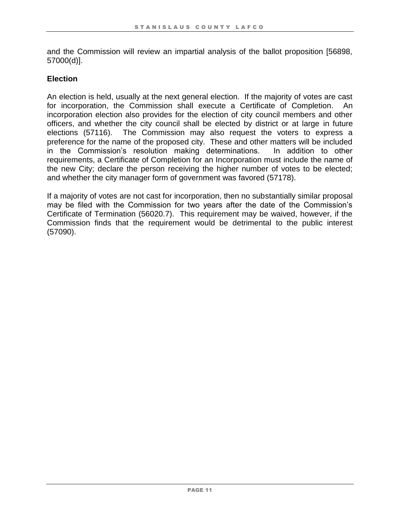and the Commission will review an impartial analysis of the ballot proposition [56898, 57000(d)].

#### **Election**

An election is held, usually at the next general election. If the majority of votes are cast for incorporation, the Commission shall execute a Certificate of Completion. An incorporation election also provides for the election of city council members and other officers, and whether the city council shall be elected by district or at large in future elections (57116). The Commission may also request the voters to express a preference for the name of the proposed city. These and other matters will be included in the Commission's resolution making determinations. In addition to other requirements, a Certificate of Completion for an Incorporation must include the name of the new City; declare the person receiving the higher number of votes to be elected; and whether the city manager form of government was favored (57178).

If a majority of votes are not cast for incorporation, then no substantially similar proposal may be filed with the Commission for two years after the date of the Commission's Certificate of Termination (56020.7). This requirement may be waived, however, if the Commission finds that the requirement would be detrimental to the public interest (57090).